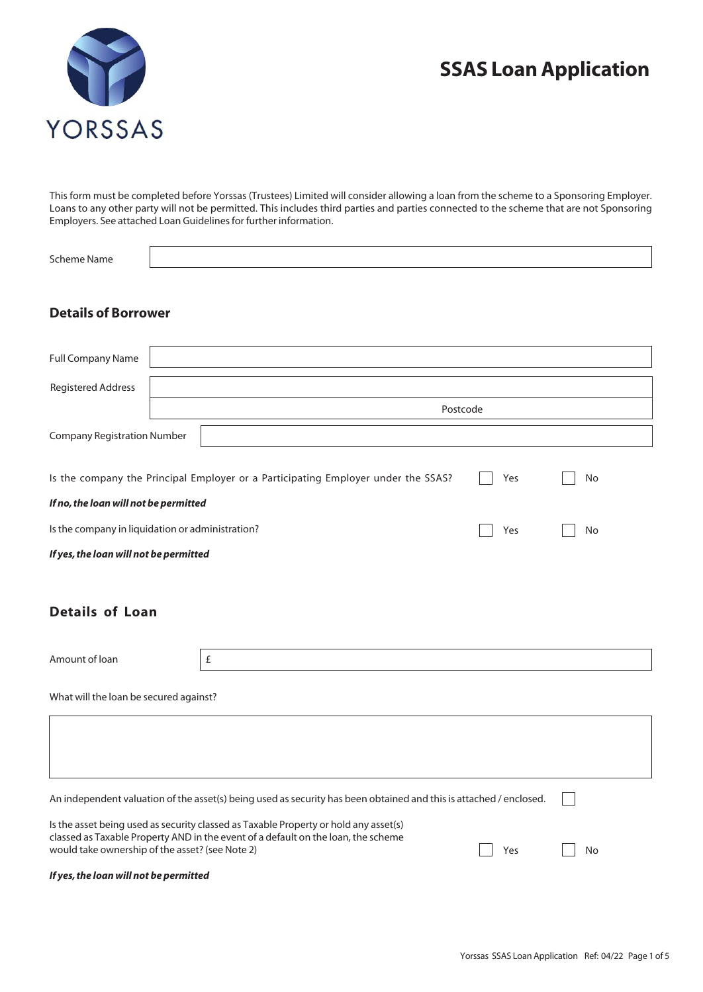# **SSAS Loan Application**



This form must be completed before Yorssas (Trustees) Limited will consider allowing a loan from the scheme to a Sponsoring Employer. Loans to any other party will not be permitted. This includes third parties and parties connected to the scheme that are not Sponsoring Employers. See attached Loan Guidelines for further information.

| <b>Scheme Name</b>                                                                                                                                                        |          |                                                                                   |     |    |  |  |  |
|---------------------------------------------------------------------------------------------------------------------------------------------------------------------------|----------|-----------------------------------------------------------------------------------|-----|----|--|--|--|
|                                                                                                                                                                           |          |                                                                                   |     |    |  |  |  |
| <b>Details of Borrower</b>                                                                                                                                                |          |                                                                                   |     |    |  |  |  |
|                                                                                                                                                                           |          |                                                                                   |     |    |  |  |  |
| <b>Full Company Name</b>                                                                                                                                                  |          |                                                                                   |     |    |  |  |  |
| <b>Registered Address</b>                                                                                                                                                 |          |                                                                                   |     |    |  |  |  |
|                                                                                                                                                                           | Postcode |                                                                                   |     |    |  |  |  |
| <b>Company Registration Number</b>                                                                                                                                        |          |                                                                                   |     |    |  |  |  |
|                                                                                                                                                                           |          | Is the company the Principal Employer or a Participating Employer under the SSAS? | Yes | No |  |  |  |
| If no, the loan will not be permitted                                                                                                                                     |          |                                                                                   |     |    |  |  |  |
| Is the company in liquidation or administration?<br>Yes                                                                                                                   |          |                                                                                   |     | No |  |  |  |
| If yes, the loan will not be permitted                                                                                                                                    |          |                                                                                   |     |    |  |  |  |
|                                                                                                                                                                           |          |                                                                                   |     |    |  |  |  |
| <b>Details of Loan</b>                                                                                                                                                    |          |                                                                                   |     |    |  |  |  |
|                                                                                                                                                                           |          |                                                                                   |     |    |  |  |  |
| Amount of loan                                                                                                                                                            |          | $\pounds$                                                                         |     |    |  |  |  |
| What will the loan be secured against?                                                                                                                                    |          |                                                                                   |     |    |  |  |  |
|                                                                                                                                                                           |          |                                                                                   |     |    |  |  |  |
|                                                                                                                                                                           |          |                                                                                   |     |    |  |  |  |
|                                                                                                                                                                           |          |                                                                                   |     |    |  |  |  |
| An independent valuation of the asset(s) being used as security has been obtained and this is attached / enclosed.                                                        |          |                                                                                   |     |    |  |  |  |
| Is the asset being used as security classed as Taxable Property or hold any asset(s)<br>classed as Taxable Property AND in the event of a default on the loan, the scheme |          |                                                                                   |     |    |  |  |  |
| would take ownership of the asset? (see Note 2)                                                                                                                           | No       |                                                                                   |     |    |  |  |  |
| If yes, the loan will not be permitted                                                                                                                                    |          |                                                                                   |     |    |  |  |  |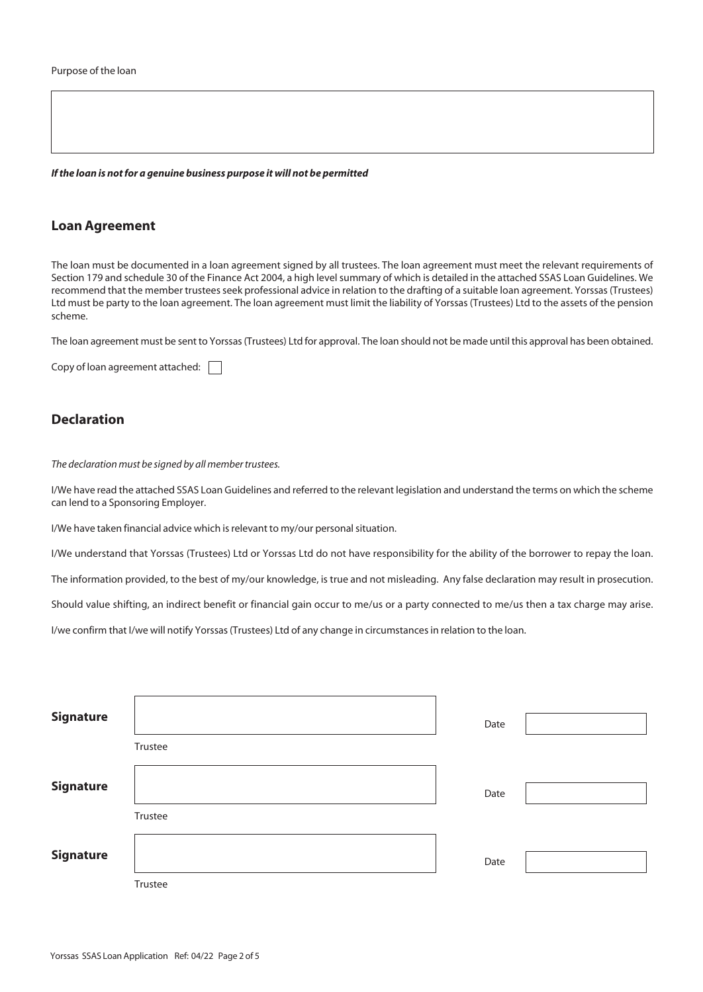*If the loan is not for a genuine business purpose it will not be permitted*

### **Loan Agreement**

The loan must be documented in a loan agreement signed by all trustees. The loan agreement must meet the relevant requirements of Section 179 and schedule 30 of the Finance Act 2004, a high level summary of which is detailed in the attached SSAS Loan Guidelines. We recommend that the member trustees seek professional advice in relation to the drafting of a suitable loan agreement. Yorssas (Trustees) Ltd must be party to the loan agreement. The loan agreement must limit the liability of Yorssas (Trustees) Ltd to the assets of the pension scheme.

The loan agreement must be sent to Yorssas (Trustees) Ltd for approval. The loan should not be made until this approval has been obtained.

Copy of loan agreement attached:  $\Box$ 

## **Declaration**

*The declaration must be signed by all member trustees.*

I/We have read the attached SSAS Loan Guidelines and referred to the relevant legislation and understand the terms on which the scheme can lend to a Sponsoring Employer.

I/We have taken financial advice which is relevant to my/our personal situation.

I/We understand that Yorssas (Trustees) Ltd or Yorssas Ltd do not have responsibility for the ability of the borrower to repay the loan.

The information provided, to the best of my/our knowledge, is true and not misleading. Any false declaration may result in prosecution.

Should value shifting, an indirect benefit or financial gain occur to me/us or a party connected to me/us then a tax charge may arise.

I/we confirm that I/we will notify Yorssas (Trustees) Ltd of any change in circumstances in relation to the loan.

| <b>Signature</b> |         | Date |  |
|------------------|---------|------|--|
|                  | Trustee |      |  |
| <b>Signature</b> |         | Date |  |
|                  | Trustee |      |  |
| <b>Signature</b> |         | Date |  |
|                  | Trustee |      |  |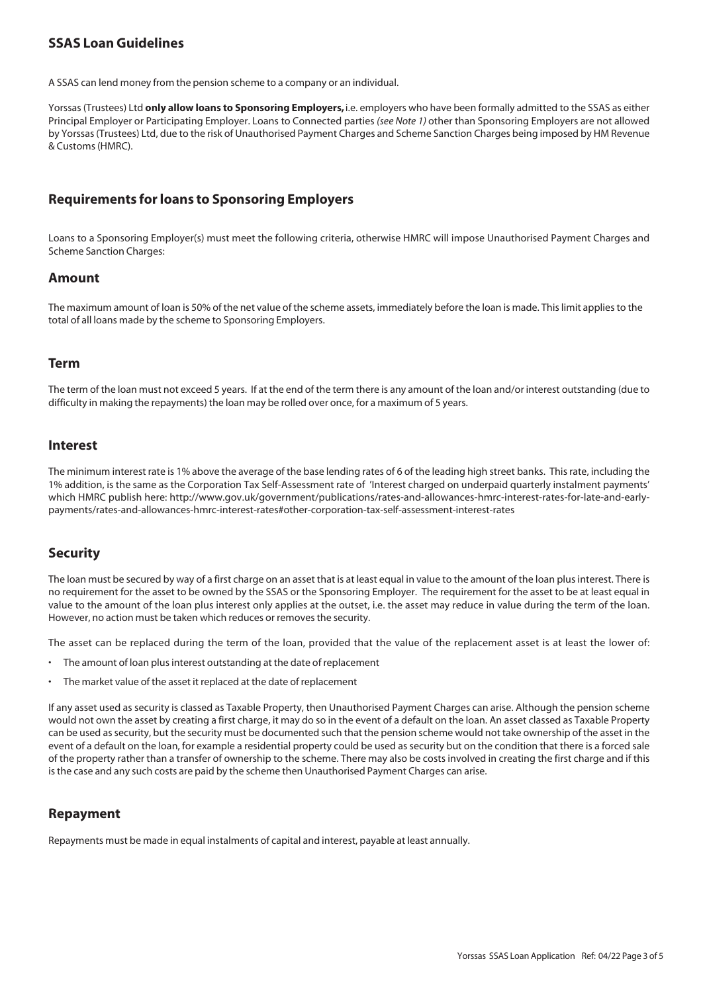## **SSAS Loan Guidelines**

A SSAS can lend money from the pension scheme to a company or an individual.

Yorssas (Trustees) Ltd **only allow loans to Sponsoring Employers,** i.e. employers who have been formally admitted to the SSAS as either Principal Employer or Participating Employer. Loans to Connected parties *(see Note 1)* other than Sponsoring Employers are not allowed by Yorssas (Trustees) Ltd, due to the risk of Unauthorised Payment Charges and Scheme Sanction Charges being imposed by HM Revenue & Customs (HMRC).

## **Requirements for loans to Sponsoring Employers**

Loans to a Sponsoring Employer(s) must meet the following criteria, otherwise HMRC will impose Unauthorised Payment Charges and Scheme Sanction Charges:

#### **Amount**

The maximum amount of loan is 50% of the net value of the scheme assets, immediately before the loan is made. This limit applies to the total of all loans made by the scheme to Sponsoring Employers.

#### **Term**

The term of the loan must not exceed 5 years. If at the end of the term there is any amount of the loan and/or interest outstanding (due to difficulty in making the repayments) the loan may be rolled over once, for a maximum of 5 years.

#### **Interest**

The minimum interest rate is 1% above the average of the base lending rates of 6 of the leading high street banks. This rate, including the 1% addition, is the same as the Corporation Tax Self-Assessment rate of 'Interest charged on underpaid quarterly instalment payments' which HMRC publish here: http://www.gov.uk/government/publications/rates-and-allowances-hmrc-interest-rates-for-late-and-earlypayments/rates-and-allowances-hmrc-interest-rates#other-corporation-tax-self-assessment-interest-rates

#### **Security**

The loan must be secured by way of a first charge on an asset that is at least equal in value to the amount of the loan plus interest. There is no requirement for the asset to be owned by the SSAS or the Sponsoring Employer. The requirement for the asset to be at least equal in value to the amount of the loan plus interest only applies at the outset, i.e. the asset may reduce in value during the term of the loan. However, no action must be taken which reduces or removes the security.

The asset can be replaced during the term of the loan, provided that the value of the replacement asset is at least the lower of:

- The amount of loan plus interest outstanding at the date of replacement
- The market value of the asset it replaced at the date of replacement

If any asset used as security is classed as Taxable Property, then Unauthorised Payment Charges can arise. Although the pension scheme would not own the asset by creating a first charge, it may do so in the event of a default on the loan. An asset classed as Taxable Property can be used as security, but the security must be documented such that the pension scheme would not take ownership of the asset in the event of a default on the loan, for example a residential property could be used as security but on the condition that there is a forced sale of the property rather than a transfer of ownership to the scheme. There may also be costs involved in creating the first charge and if this is the case and any such costs are paid by the scheme then Unauthorised Payment Charges can arise.

#### **Repayment**

Repayments must be made in equal instalments of capital and interest, payable at least annually.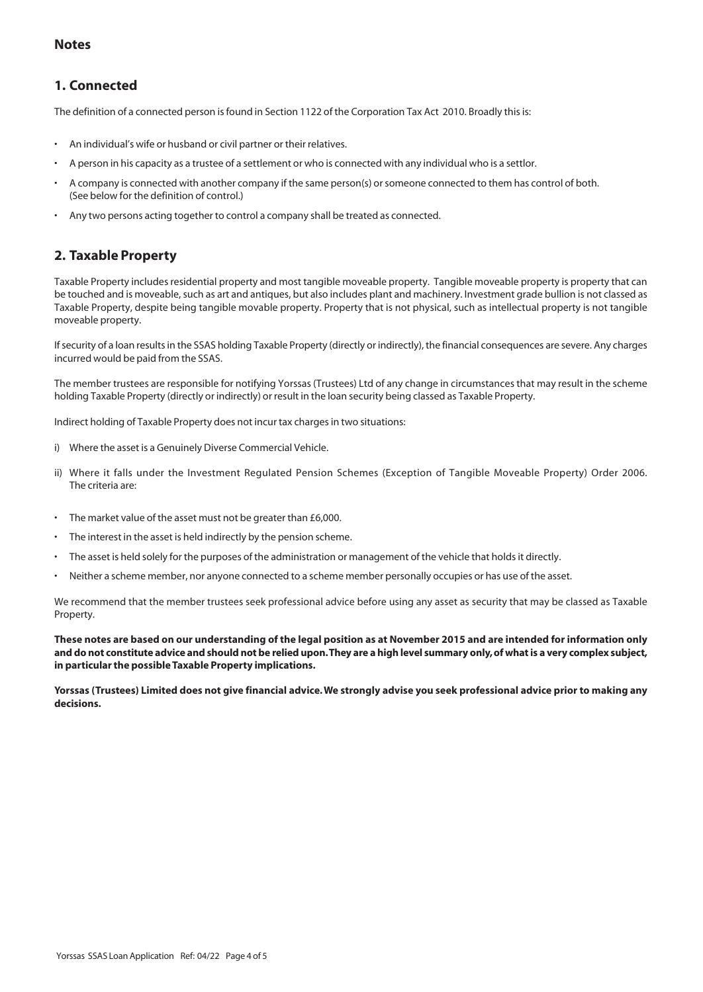## **Notes**

# **1. Connected**

The definition of a connected person is found in Section 1122 of the Corporation Tax Act 2010. Broadly this is:

- An individual's wife or husband or civil partner or their relatives.
- A person in his capacity as a trustee of a settlement or who is connected with any individual who is a settlor.
- A company is connected with another company if the same person(s) or someone connected to them has control of both. (See below for the definition of control.)
- Any two persons acting together to control a company shall be treated as connected.

# **2. Taxable Property**

Taxable Property includes residential property and most tangible moveable property. Tangible moveable property is property that can be touched and is moveable, such as art and antiques, but also includes plant and machinery. Investment grade bullion is not classed as Taxable Property, despite being tangible movable property. Property that is not physical, such as intellectual property is not tangible moveable property.

If security of a loan results in the SSAS holding Taxable Property (directly or indirectly), the financial consequences are severe. Any charges incurred would be paid from the SSAS.

The member trustees are responsible for notifying Yorssas (Trustees) Ltd of any change in circumstances that may result in the scheme holding Taxable Property (directly or indirectly) or result in the loan security being classed as Taxable Property.

Indirect holding of Taxable Property does not incur tax charges in two situations:

- i) Where the asset is a Genuinely Diverse Commercial Vehicle.
- ii) Where it falls under the Investment Regulated Pension Schemes (Exception of Tangible Moveable Property) Order 2006. The criteria are:
- The market value of the asset must not be greater than £6,000.
- The interest in the asset is held indirectly by the pension scheme.
- The asset is held solely for the purposes of the administration or management of the vehicle that holds it directly.
- Neither a scheme member, nor anyone connected to a scheme member personally occupies or has use of the asset.

We recommend that the member trustees seek professional advice before using any asset as security that may be classed as Taxable Property.

**These notes are based on our understanding of the legal position as at November 2015 and are intended for information only and do not constitute advice and should not be relied upon. They are a high level summary only, of what is a very complex subject, in particular the possible Taxable Property implications.**

**Yorssas (Trustees) Limited does not give financial advice. We strongly advise you seek professional advice prior to making any decisions.**